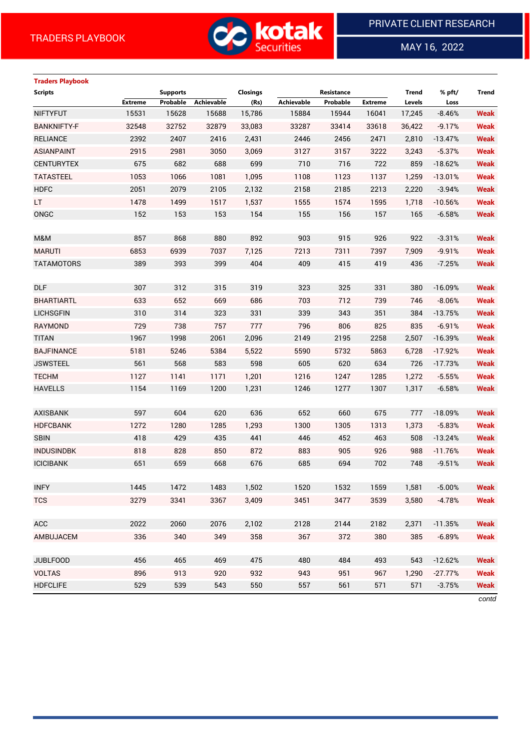

 $\overline{a}$ 

MAY 16, 2022

# **Traders Playbook Scripts Supports Closings Resistance Trend % pft/ Trend Extreme Probable Achievable (Rs) Achievable Probable Extreme Levels Loss** NIFTYFUT 15531 15628 15688 15,786 15884 15944 16041 17,245 -8.46% **Weak** BANKNIFTY-F 32548 32752 32879 33,083 33287 33414 33618 36,422 -9.17% **Weak** RELIANCE 2392 2407 2416 2,431 2446 2456 2471 2,810 -13.47% **Weak** ASIANPAINT 2915 2981 3050 3,069 3127 3157 3222 3,243 -5.37% **Weak** CENTURYTEX 675 682 688 699 710 716 722 859 -18.62% **Weak** TATASTEEL 1053 1066 1081 1,095 1108 1123 1137 1,259 -13.01% **Weak** HDFC 2051 2079 2105 2,132 2158 2185 2213 2,220 -3.94% **Weak** LT 1478 1499 1517 1,537 1555 1574 1595 1,718 -10.56% **Weak** ONGC 152 153 153 154 155 156 157 165 -6.58% **Weak** M&M 857 868 880 892 903 915 926 922 -3.31% **Weak** MARUTI 6853 6939 7037 7,125 7213 7311 7397 7,909 -9.91% **Weak** TATAMOTORS 389 393 399 404 409 415 419 436 -7.25% **Weak** DLF 307 312 315 319 323 325 331 380 -16.09% **Weak** BHARTIARTL 633 652 669 686 703 712 739 746 -8.06% **Weak** LICHSGFIN 310 314 323 331 339 343 351 384 -13.75% **Weak** RAYMOND 729 738 757 777 796 806 825 835 -6.91% **Weak** TITAN 1967 1998 2061 2,096 2149 2195 2258 2,507 -16.39% **Weak** BAJFINANCE 5181 5246 5384 5,522 5590 5732 5863 6,728 -17.92% **Weak** JSWSTEEL 561 568 583 598 605 620 634 726 -17.73% **Weak** TECHM 1127 1141 1171 1,201 1216 1247 1285 1,272 -5.55% **Weak** HAVELLS 1154 1169 1200 1,231 1246 1277 1307 1,317 -6.58% **Weak** AXISBANK 597 604 620 636 652 660 675 777 -18.09% **Weak** HDFCBANK 1272 1280 1285 1,293 1300 1305 1313 1,373 -5.83% **Weak** SBIN 418 429 435 441 446 452 463 508 -13.24% **Weak** INDUSINDBK 818 828 850 872 883 905 926 988 -11.76% **Weak** ICICIBANK 651 659 668 676 685 694 702 748 -9.51% **Weak** INFY 1445 1472 1483 1,502 1520 1532 1559 1,581 -5.00% **Weak** TCS 3279 3341 3367 3,409 3451 3477 3539 3,580 -4.78% **Weak** ACC 2022 2060 2076 2,102 2128 2144 2182 2,371 -11.35% **Weak** AMBUJACEM 336 340 349 358 367 372 380 385 -6.89% **Weak** JUBLFOOD 456 465 469 475 480 484 493 543 -12.62% **Weak** VOLTAS 896 913 920 932 943 951 967 1,290 -27.77% **Weak** HDFCLIFE 529 539 543 550 557 561 571 571 -3.75% **Weak**

*contd*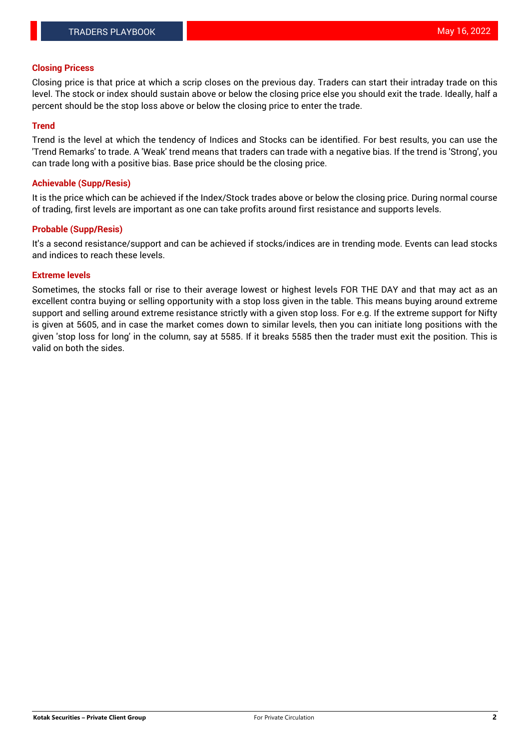# **Closing Pricess**

Closing price is that price at which a scrip closes on the previous day. Traders can start their intraday trade on this level. The stock or index should sustain above or below the closing price else you should exit the trade. Ideally, half a percent should be the stop loss above or below the closing price to enter the trade.

## **Trend**

Trend is the level at which the tendency of Indices and Stocks can be identified. For best results, you can use the 'Trend Remarks' to trade. A 'Weak' trend means that traders can trade with a negative bias. If the trend is 'Strong', you can trade long with a positive bias. Base price should be the closing price.

## **Achievable (Supp/Resis)**

It is the price which can be achieved if the Index/Stock trades above or below the closing price. During normal course of trading, first levels are important as one can take profits around first resistance and supports levels.

# **Probable (Supp/Resis)**

It's a second resistance/support and can be achieved if stocks/indices are in trending mode. Events can lead stocks and indices to reach these levels.

#### **Extreme levels**

Sometimes, the stocks fall or rise to their average lowest or highest levels FOR THE DAY and that may act as an excellent contra buying or selling opportunity with a stop loss given in the table. This means buying around extreme support and selling around extreme resistance strictly with a given stop loss. For e.g. If the extreme support for Nifty is given at 5605, and in case the market comes down to similar levels, then you can initiate long positions with the given 'stop loss for long' in the column, say at 5585. If it breaks 5585 then the trader must exit the position. This is valid on both the sides.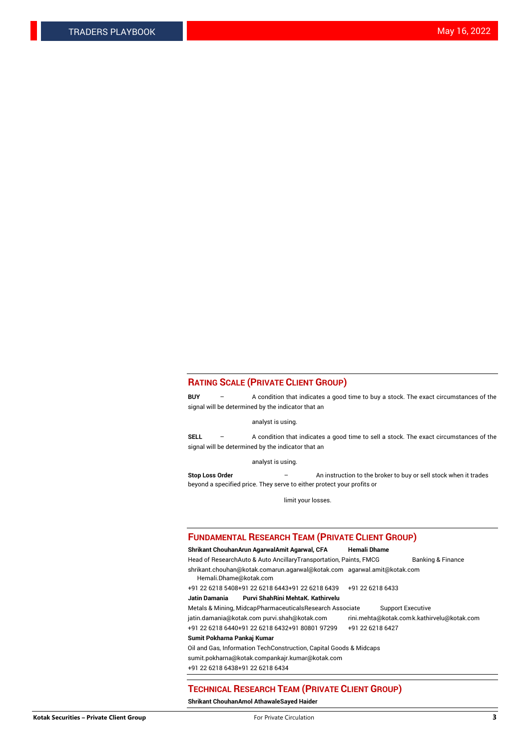# **RATING SCALE (PRIVATE CLIENT GROUP)**

**BUY** – A condition that indicates a good time to buy a stock. The exact circumstances of the signal will be determined by the indicator that an

analyst is using.

**SELL** – A condition that indicates a good time to sell a stock. The exact circumstances of the signal will be determined by the indicator that an

analyst is using.

**Stop Loss Order** – An instruction to the broker to buy or sell stock when it trades beyond a specified price. They serve to either protect your profits or

limit your losses.

#### **FUNDAMENTAL RESEARCH TEAM (PRIVATE CLIENT GROUP)**

**Shrikant ChouhanArun AgarwalAmit Agarwal, CFA Hemali Dhame** Head of ResearchAuto & Auto AncillaryTransportation, Paints, FMCG Banking & Finance shrikant.chouhan@kotak.comarun.agarwal@kotak.com agarwal.amit@kotak.com Hemali.Dhame@kotak.com +91 22 6218 5408+91 22 6218 6443+91 22 6218 6439 +91 22 6218 6433 **Jatin Damania Purvi ShahRini MehtaK. Kathirvelu** Metals & Mining, MidcapPharmaceuticalsResearch Associate Support Executive jatin.damania@kotak.com [purvi.shah@kotak.com](mailto:purvi.shah@kotak.com) rini.mehta@kotak.co[mk.kathirvelu@kotak.com](mailto:k.kathirvelu@kotak.com) +91 22 6218 6440+91 22 6218 6432+91 80801 97299 +91 22 6218 6427 **Sumit Pokharna Pankaj Kumar**

Oil and Gas, Information TechConstruction, Capital Goods & Midcaps

sumit.pokharna@kotak.compankajr.kumar@kotak.com

+91 22 6218 6438+91 22 6218 6434

#### **TECHNICAL RESEARCH TEAM (PRIVATE CLIENT GROUP)**

**Shrikant ChouhanAmol AthawaleSayed Haider**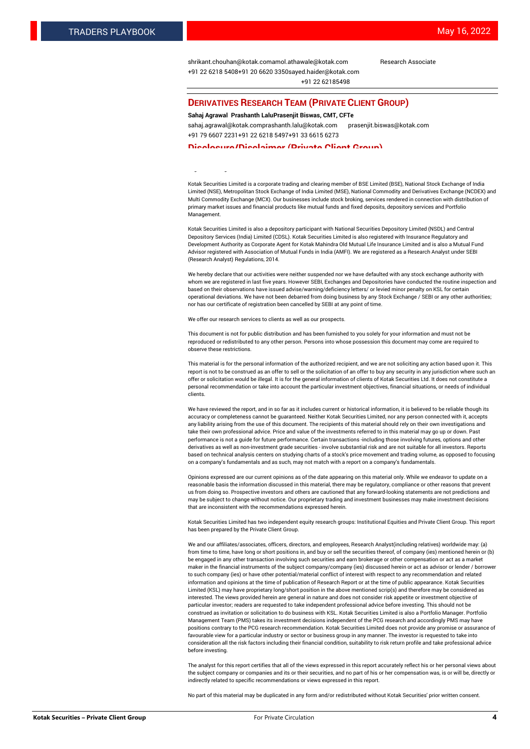[shrikant.chouhan@kotak.com](mailto:shrikant.chouhan@kotak.com)[amol.athawale@kotak.com](mailto:amol.athawale@kotak.com) Research Associate +91 22 6218 5408+91 20 6620 335[0sayed.haider@kotak.com](mailto:sayed.haider@kotak.com) +91 22 62185498

#### **DERIVATIVES RESEARCH TEAM (PRIVATE CLIENT GROUP)**

#### **Sahaj Agrawal Prashanth LaluPrasenjit Biswas, CMT, CFTe**

[sahaj.agrawal@kotak.com](mailto:sahaj.agrawal@kotak.com)[prashanth.lalu@kotak.com](mailto:prashanth.lalu@kotak.com) [prasenjit.biswas@kotak.com](mailto:prasenjit.biswas@kotak.com) +91 79 6607 2231+91 22 6218 5497+91 33 6615 6273

#### **Disclosure/Disclaimer (Private Client Group)**

largest brokerage and distribution house.

Kotak Securities Limited is a corporate trading and clearing member of BSE Limited (BSE), National Stock Exchange of India Limited (NSE), Metropolitan Stock Exchange of India Limited (MSE), National Commodity and Derivatives Exchange (NCDEX) and Multi Commodity Exchange (MCX). Our businesses include stock broking, services rendered in connection with distribution of primary market issues and financial products like mutual funds and fixed deposits, depository services and Portfolio Management.

Kotak Securities Limited is also a depository participant with National Securities Depository Limited (NSDL) and Central Depository Services (India) Limited (CDSL). Kotak Securities Limited is also registered with Insurance Regulatory and Development Authority as Corporate Agent for Kotak Mahindra Old Mutual Life Insurance Limited and is also a Mutual Fund Advisor registered with Association of Mutual Funds in India (AMFI). We are registered as a Research Analyst under SEBI (Research Analyst) Regulations, 2014.

We hereby declare that our activities were neither suspended nor we have defaulted with any stock exchange authority with whom we are registered in last five years. However SEBI, Exchanges and Depositories have conducted the routine inspection and based on their observations have issued advise/warning/deficiency letters/ or levied minor penalty on KSL for certain operational deviations. We have not been debarred from doing business by any Stock Exchange / SEBI or any other authorities; nor has our certificate of registration been cancelled by SEBI at any point of time.

We offer our research services to clients as well as our prospects.

This document is not for public distribution and has been furnished to you solely for your information and must not be reproduced or redistributed to any other person. Persons into whose possession this document may come are required to observe these restrictions.

This material is for the personal information of the authorized recipient, and we are not soliciting any action based upon it. This report is not to be construed as an offer to sell or the solicitation of an offer to buy any security in any jurisdiction where such an offer or solicitation would be illegal. It is for the general information of clients of Kotak Securities Ltd. It does not constitute a personal recommendation or take into account the particular investment objectives, financial situations, or needs of individual clients.

We have reviewed the report, and in so far as it includes current or historical information, it is believed to be reliable though its accuracy or completeness cannot be guaranteed. Neither Kotak Securities Limited, nor any person connected with it, accepts any liability arising from the use of this document. The recipients of this material should rely on their own investigations and take their own professional advice. Price and value of the investments referred to in this material may go up or down. Past performance is not a guide for future performance. Certain transactions -including those involving futures, options and other derivatives as well as non-investment grade securities - involve substantial risk and are not suitable for all investors. Reports based on technical analysis centers on studying charts of a stock's price movement and trading volume, as opposed to focusing on a company's fundamentals and as such, may not match with a report on a company's fundamentals.

Opinions expressed are our current opinions as of the date appearing on this material only. While we endeavor to update on a reasonable basis the information discussed in this material, there may be regulatory, compliance or other reasons that prevent us from doing so. Prospective investors and others are cautioned that any forward-looking statements are not predictions and may be subject to change without notice. Our proprietary trading and investment businesses may make investment decisions that are inconsistent with the recommendations expressed herein.

Kotak Securities Limited has two independent equity research groups: Institutional Equities and Private Client Group. This report has been prepared by the Private Client Group.

We and our affiliates/associates, officers, directors, and employees, Research Analyst(including relatives) worldwide may: (a) from time to time, have long or short positions in, and buy or sell the securities thereof, of company (ies) mentioned herein or (b) be engaged in any other transaction involving such securities and earn brokerage or other compensation or act as a market maker in the financial instruments of the subject company/company (ies) discussed herein or act as advisor or lender / borrower to such company (ies) or have other potential/material conflict of interest with respect to any recommendation and related information and opinions at the time of publication of Research Report or at the time of public appearance. Kotak Securities Limited (KSL) may have proprietary long/short position in the above mentioned scrip(s) and therefore may be considered as interested. The views provided herein are general in nature and does not consider risk appetite or investment objective of particular investor; readers are requested to take independent professional advice before investing. This should not be construed as invitation or solicitation to do business with KSL. Kotak Securities Limited is also a Portfolio Manager. Portfolio Management Team (PMS) takes its investment decisions independent of the PCG research and accordingly PMS may have positions contrary to the PCG research recommendation. Kotak Securities Limited does not provide any promise or assurance of favourable view for a particular industry or sector or business group in any manner. The investor is requested to take into consideration all the risk factors including their financial condition, suitability to risk return profile and take professional advice before investing.

The analyst for this report certifies that all of the views expressed in this report accurately reflect his or her personal views about the subject company or companies and its or their securities, and no part of his or her compensation was, is or will be, directly or indirectly related to specific recommendations or views expressed in this report.

No part of this material may be duplicated in any form and/or redistributed without Kotak Securities' prior written consent.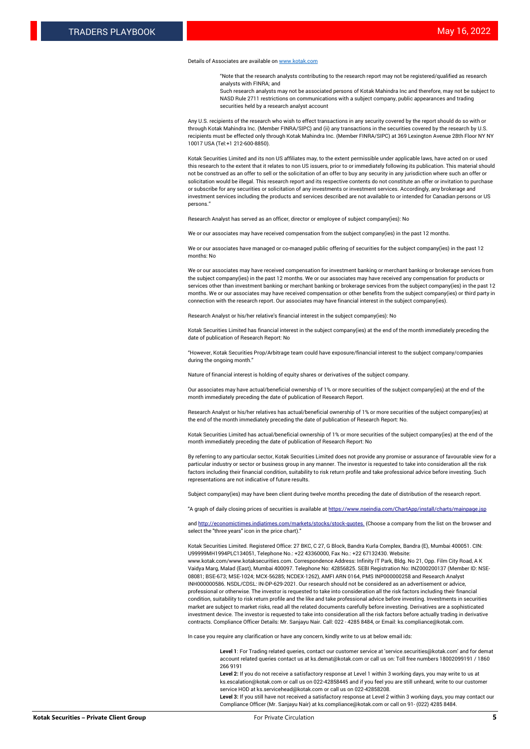#### Details of Associates are available o[n www.kotak.com](http://www.kotak.com/)

"Note that the research analysts contributing to the research report may not be registered/qualified as research analysts with FINRA; and

Such research analysts may not be associated persons of Kotak Mahindra Inc and therefore, may not be subject to NASD Rule 2711 restrictions on communications with a subject company, public appearances and trading securities held by a research analyst account

Any U.S. recipients of the research who wish to effect transactions in any security covered by the report should do so with or through Kotak Mahindra Inc. (Member FINRA/SIPC) and (ii) any transactions in the securities covered by the research by U.S. recipients must be effected only through Kotak Mahindra Inc. (Member FINRA/SIPC) at 369 Lexington Avenue 28th Floor NY NY 10017 USA (Tel:+1 212-600-8850).

Kotak Securities Limited and its non US affiliates may, to the extent permissible under applicable laws, have acted on or used this research to the extent that it relates to non US issuers, prior to or immediately following its publication. This material should not be construed as an offer to sell or the solicitation of an offer to buy any security in any jurisdiction where such an offer or solicitation would be illegal. This research report and its respective contents do not constitute an offer or invitation to purchase or subscribe for any securities or solicitation of any investments or investment services. Accordingly, any brokerage and investment services including the products and services described are not available to or intended for Canadian persons or US persons."

Research Analyst has served as an officer, director or employee of subject company(ies): No

We or our associates may have received compensation from the subject company(ies) in the past 12 months.

We or our associates have managed or co-managed public offering of securities for the subject company(ies) in the past 12 months: No

We or our associates may have received compensation for investment banking or merchant banking or brokerage services from the subject company(ies) in the past 12 months. We or our associates may have received any compensation for products or services other than investment banking or merchant banking or brokerage services from the subject company(ies) in the past 12 months. We or our associates may have received compensation or other benefits from the subject company(ies) or third party in connection with the research report. Our associates may have financial interest in the subject company(ies).

Research Analyst or his/her relative's financial interest in the subject company(ies): No

Kotak Securities Limited has financial interest in the subject company(ies) at the end of the month immediately preceding the date of publication of Research Report: No

"However, Kotak Securities Prop/Arbitrage team could have exposure/financial interest to the subject company/companies during the ongoing month."

Nature of financial interest is holding of equity shares or derivatives of the subject company.

Our associates may have actual/beneficial ownership of 1% or more securities of the subject company(ies) at the end of the month immediately preceding the date of publication of Research Report.

Research Analyst or his/her relatives has actual/beneficial ownership of 1% or more securities of the subject company(ies) at the end of the month immediately preceding the date of publication of Research Report: No.

Kotak Securities Limited has actual/beneficial ownership of 1% or more securities of the subject company(ies) at the end of the month immediately preceding the date of publication of Research Report: No

By referring to any particular sector, Kotak Securities Limited does not provide any promise or assurance of favourable view for a particular industry or sector or business group in any manner. The investor is requested to take into consideration all the risk factors including their financial condition, suitability to risk return profile and take professional advice before investing. Such representations are not indicative of future results.

Subject company(ies) may have been client during twelve months preceding the date of distribution of the research report.

"A graph of daily closing prices of securities is available at https://www.nseindia.com/ChartApp/install/charts/main

and http://economictimes.indiatimes.com/markets/stocks/stock-quotes. (Choose a company from the list on the browser and select the "three years" icon in the price chart)."

Kotak Securities Limited. Registered Office: 27 BKC, C 27, G Block, Bandra Kurla Complex, Bandra (E), Mumbai 400051. CIN: U99999MH1994PLC134051, Telephone No.: +22 43360000, Fax No.: +22 67132430. Website:

www.kotak.com/www.kotaksecurities.com. Correspondence Address: Infinity IT Park, Bldg. No 21, Opp. Film City Road, A K Vaidya Marg, Malad (East), Mumbai 400097. Telephone No: 42856825. SEBI Registration No: INZ000200137 (Member ID: NSE-08081; BSE-673; MSE-1024; MCX-56285; NCDEX-1262), AMFI ARN 0164, PMS INP000000258 and Research Analyst INH000000586. NSDL/CDSL: IN-DP-629-2021. Our research should not be considered as an advertisement or advice, professional or otherwise. The investor is requested to take into consideration all the risk factors including their financial condition, suitability to risk return profile and the like and take professional advice before investing. Investments in securities market are subject to market risks, read all the related documents carefully before investing. Derivatives are a sophisticated investment device. The investor is requested to take into consideration all the risk factors before actually trading in derivative contracts. Compliance Officer Details: Mr. Sanjayu Nair. Call: 022 - 4285 8484, or Email: ks.compliance@kotak.com.

In case you require any clarification or have any concern, kindly write to us at below email ids:

**Level 1**: For Trading related queries, contact our customer service at 'service.securities@kotak.com' and for demat account related queries contact us at ks.demat@kotak.com or call us on: Toll free numbers 18002099191 / 1860 266 9191

**Level 2:** If you do not receive a satisfactory response at Level 1 within 3 working days, you may write to us at ks.escalation@kotak.com or call us on 022-42858445 and if you feel you are still unheard, write to our customer service HOD at ks.servicehead@kotak.com or call us on 022-42858208.

**Level 3:** If you still have not received a satisfactory response at Level 2 within 3 working days, you may contact our Compliance Officer (Mr. Sanjayu Nair) at ks.compliance@kotak.com or call on 91- (022) 4285 8484.